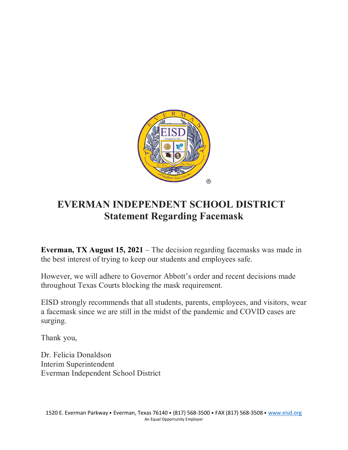

## **EVERMAN INDEPENDENT SCHOOL DISTRICT Statement Regarding Facemask**

**Everman, TX August 15, 2021** – The decision regarding facemasks was made in the best interest of trying to keep our students and employees safe.

However, we will adhere to Governor Abbott's order and recent decisions made throughout Texas Courts blocking the mask requirement.

EISD strongly recommends that all students, parents, employees, and visitors, wear a facemask since we are still in the midst of the pandemic and COVID cases are surging.

Thank you,

Dr. Felicia Donaldson Interim Superintendent Everman Independent School District